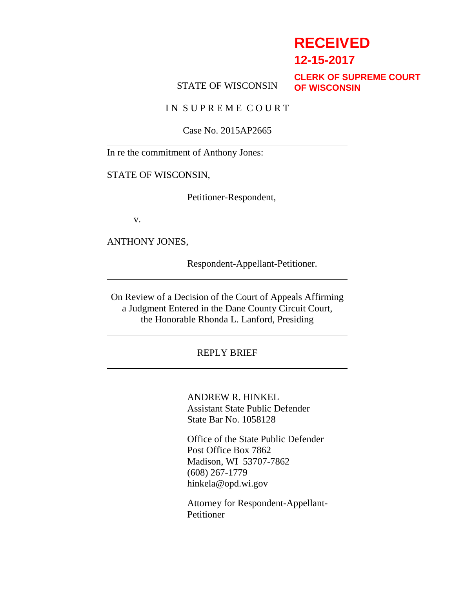# **RECEIVED**

**12-15-2017**

### STATE OF WISCONSIN

**CLERK OF SUPREME COURT OF WISCONSIN**

IN SUPREME COURT

Case No. 2015AP2665

In re the commitment of Anthony Jones:

STATE OF WISCONSIN,

Petitioner-Respondent,

v.

ANTHONY JONES,

Respondent-Appellant-Petitioner.

On Review of a Decision of the Court of Appeals Affirming a Judgment Entered in the Dane County Circuit Court, the Honorable Rhonda L. Lanford, Presiding

REPLY BRIEF

ANDREW R. HINKEL Assistant State Public Defender State Bar No. 1058128

Office of the State Public Defender Post Office Box 7862 Madison, WI 53707-7862 (608) 267-1779 hinkela@opd.wi.gov

Attorney for Respondent-Appellant-**Petitioner**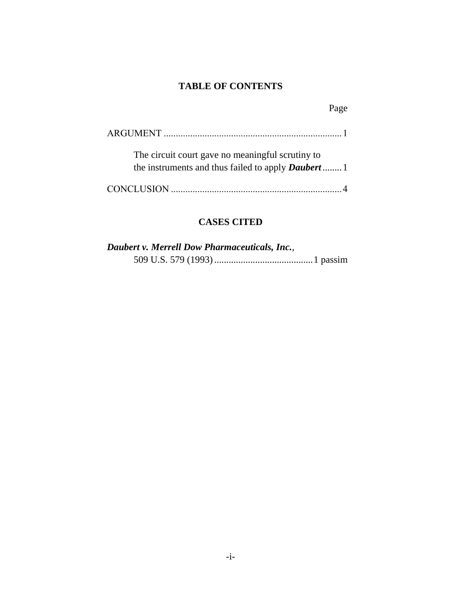### **TABLE OF CONTENTS**

| The circuit court gave no meaningful scrutiny to<br>the instruments and thus failed to apply <b>Daubert</b> |  |
|-------------------------------------------------------------------------------------------------------------|--|
|                                                                                                             |  |

### **CASES CITED**

| Daubert v. Merrell Dow Pharmaceuticals, Inc., |  |
|-----------------------------------------------|--|
|                                               |  |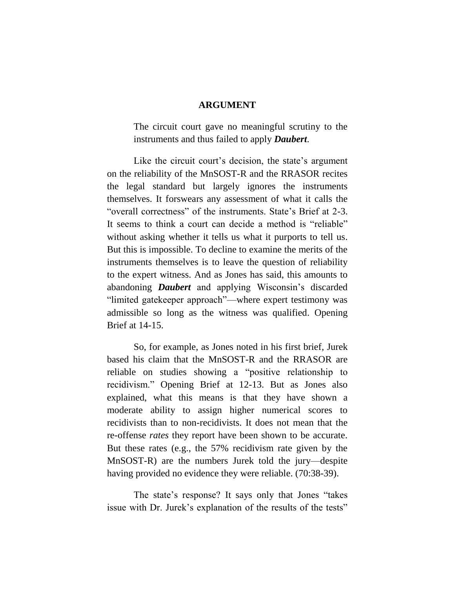#### **ARGUMENT**

The circuit court gave no meaningful scrutiny to the instruments and thus failed to apply *Daubert*.

Like the circuit court's decision, the state's argument on the reliability of the MnSOST-R and the RRASOR recites the legal standard but largely ignores the instruments themselves. It forswears any assessment of what it calls the "overall correctness" of the instruments. State's Brief at 2-3. It seems to think a court can decide a method is "reliable" without asking whether it tells us what it purports to tell us. But this is impossible. To decline to examine the merits of the instruments themselves is to leave the question of reliability to the expert witness. And as Jones has said, this amounts to abandoning *Daubert* and applying Wisconsin's discarded "limited gatekeeper approach"—where expert testimony was admissible so long as the witness was qualified. Opening Brief at 14-15.

So, for example, as Jones noted in his first brief, Jurek based his claim that the MnSOST-R and the RRASOR are reliable on studies showing a "positive relationship to recidivism." Opening Brief at 12-13. But as Jones also explained, what this means is that they have shown a moderate ability to assign higher numerical scores to recidivists than to non-recidivists. It does not mean that the re-offense *rates* they report have been shown to be accurate. But these rates (e.g., the 57% recidivism rate given by the MnSOST-R) are the numbers Jurek told the jury—despite having provided no evidence they were reliable. (70:38-39).

The state's response? It says only that Jones "takes issue with Dr. Jurek's explanation of the results of the tests"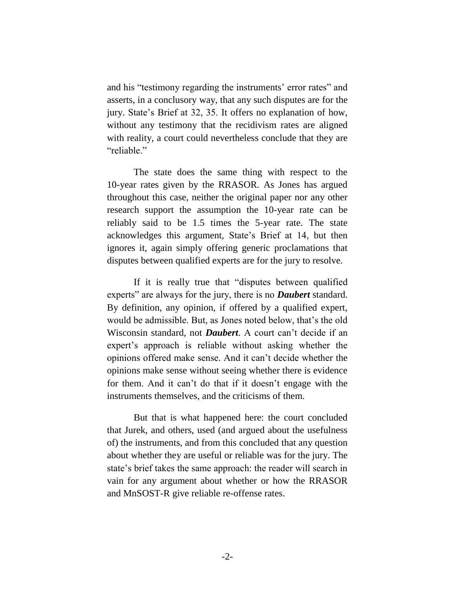and his "testimony regarding the instruments' error rates" and asserts, in a conclusory way, that any such disputes are for the jury. State's Brief at 32, 35. It offers no explanation of how, without any testimony that the recidivism rates are aligned with reality, a court could nevertheless conclude that they are "reliable."

The state does the same thing with respect to the 10-year rates given by the RRASOR. As Jones has argued throughout this case, neither the original paper nor any other research support the assumption the 10-year rate can be reliably said to be 1.5 times the 5-year rate. The state acknowledges this argument, State's Brief at 14, but then ignores it, again simply offering generic proclamations that disputes between qualified experts are for the jury to resolve.

If it is really true that "disputes between qualified experts" are always for the jury, there is no *Daubert* standard. By definition, any opinion, if offered by a qualified expert, would be admissible. But, as Jones noted below, that's the old Wisconsin standard, not *Daubert*. A court can't decide if an expert's approach is reliable without asking whether the opinions offered make sense. And it can't decide whether the opinions make sense without seeing whether there is evidence for them. And it can't do that if it doesn't engage with the instruments themselves, and the criticisms of them.

But that is what happened here: the court concluded that Jurek, and others, used (and argued about the usefulness of) the instruments, and from this concluded that any question about whether they are useful or reliable was for the jury. The state's brief takes the same approach: the reader will search in vain for any argument about whether or how the RRASOR and MnSOST-R give reliable re-offense rates.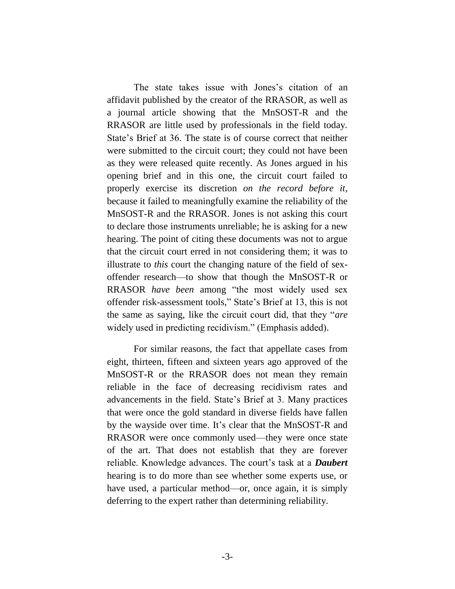The state takes issue with Jones's citation of an affidavit published by the creator of the RRASOR, as well as a journal article showing that the MnSOST-R and the RRASOR are little used by professionals in the field today. State's Brief at 36. The state is of course correct that neither were submitted to the circuit court; they could not have been as they were released quite recently. As Jones argued in his opening brief and in this one, the circuit court failed to properly exercise its discretion *on the record before it*, because it failed to meaningfully examine the reliability of the MnSOST-R and the RRASOR. Jones is not asking this court to declare those instruments unreliable; he is asking for a new hearing. The point of citing these documents was not to argue that the circuit court erred in not considering them; it was to illustrate to *this* court the changing nature of the field of sexoffender research—to show that though the MnSOST-R or RRASOR *have been* among "the most widely used sex offender risk-assessment tools," State's Brief at 13, this is not the same as saying, like the circuit court did, that they "*are* widely used in predicting recidivism." (Emphasis added).

For similar reasons, the fact that appellate cases from eight, thirteen, fifteen and sixteen years ago approved of the MnSOST-R or the RRASOR does not mean they remain reliable in the face of decreasing recidivism rates and advancements in the field. State's Brief at 3. Many practices that were once the gold standard in diverse fields have fallen by the wayside over time. It's clear that the MnSOST-R and RRASOR were once commonly used—they were once state of the art. That does not establish that they are forever reliable. Knowledge advances. The court's task at a *Daubert* hearing is to do more than see whether some experts use, or have used, a particular method—or, once again, it is simply deferring to the expert rather than determining reliability.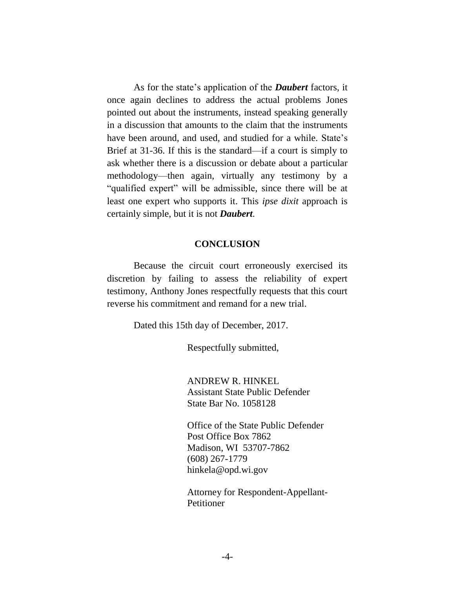As for the state's application of the *Daubert* factors, it once again declines to address the actual problems Jones pointed out about the instruments, instead speaking generally in a discussion that amounts to the claim that the instruments have been around, and used, and studied for a while. State's Brief at 31-36. If this is the standard—if a court is simply to ask whether there is a discussion or debate about a particular methodology—then again, virtually any testimony by a "qualified expert" will be admissible, since there will be at least one expert who supports it. This *ipse dixit* approach is certainly simple, but it is not *Daubert*.

#### **CONCLUSION**

Because the circuit court erroneously exercised its discretion by failing to assess the reliability of expert testimony, Anthony Jones respectfully requests that this court reverse his commitment and remand for a new trial.

Dated this 15th day of December, 2017.

Respectfully submitted,

ANDREW R. HINKEL Assistant State Public Defender State Bar No. 1058128

Office of the State Public Defender Post Office Box 7862 Madison, WI 53707-7862 (608) 267-1779 hinkela@opd.wi.gov

Attorney for Respondent-Appellant-Petitioner